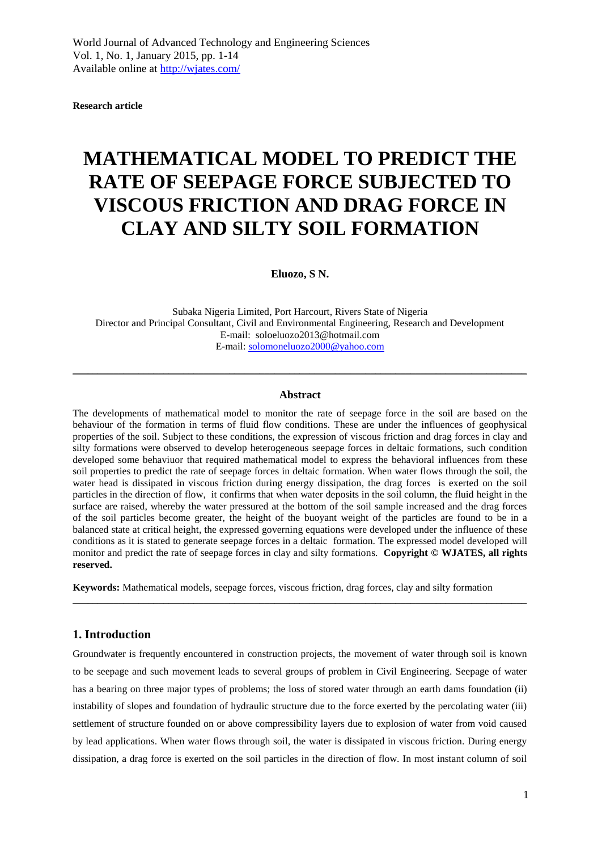**Research article**

# **MATHEMATICAL MODEL TO PREDICT THE RATE OF SEEPAGE FORCE SUBJECTED TO VISCOUS FRICTION AND DRAG FORCE IN CLAY AND SILTY SOIL FORMATION**

**Eluozo, S N.**

Subaka Nigeria Limited, Port Harcourt, Rivers State of Nigeria Director and Principal Consultant, Civil and Environmental Engineering, Research and Development E-mail: soloeluozo2013@hotmail.com E-mail: [solomoneluozo2000@yahoo.com](mailto:solomoneluozo2000@yahoo.com)

## **Abstract**

\_\_\_\_\_\_\_\_\_\_\_\_\_\_\_\_\_\_\_\_\_\_\_\_\_\_\_\_\_\_\_\_\_\_\_\_\_\_\_\_\_\_\_\_\_\_\_\_\_\_\_\_\_\_\_\_\_\_\_\_\_\_\_\_\_\_\_\_\_\_\_\_\_\_\_\_\_\_\_\_\_\_\_\_\_\_\_\_\_\_

The developments of mathematical model to monitor the rate of seepage force in the soil are based on the behaviour of the formation in terms of fluid flow conditions. These are under the influences of geophysical properties of the soil. Subject to these conditions, the expression of viscous friction and drag forces in clay and silty formations were observed to develop heterogeneous seepage forces in deltaic formations, such condition developed some behaviuor that required mathematical model to express the behavioral influences from these soil properties to predict the rate of seepage forces in deltaic formation. When water flows through the soil, the water head is dissipated in viscous friction during energy dissipation, the drag forces is exerted on the soil particles in the direction of flow, it confirms that when water deposits in the soil column, the fluid height in the surface are raised, whereby the water pressured at the bottom of the soil sample increased and the drag forces of the soil particles become greater, the height of the buoyant weight of the particles are found to be in a balanced state at critical height, the expressed governing equations were developed under the influence of these conditions as it is stated to generate seepage forces in a deltaic formation. The expressed model developed will monitor and predict the rate of seepage forces in clay and silty formations. **Copyright © WJATES, all rights reserved.** 

**Keywords:** Mathematical models, seepage forces, viscous friction, drag forces, clay and silty formation

\_\_\_\_\_\_\_\_\_\_\_\_\_\_\_\_\_\_\_\_\_\_\_\_\_\_\_\_\_\_\_\_\_\_\_\_\_\_\_\_\_\_\_\_\_\_\_\_\_\_\_\_\_\_\_\_\_\_\_\_\_\_\_\_\_\_\_\_\_\_\_\_\_\_\_\_\_\_\_\_\_\_\_\_\_\_\_\_\_\_

## **1. Introduction**

Groundwater is frequently encountered in construction projects, the movement of water through soil is known to be seepage and such movement leads to several groups of problem in Civil Engineering. Seepage of water has a bearing on three major types of problems; the loss of stored water through an earth dams foundation (ii) instability of slopes and foundation of hydraulic structure due to the force exerted by the percolating water (iii) settlement of structure founded on or above compressibility layers due to explosion of water from void caused by lead applications. When water flows through soil, the water is dissipated in viscous friction. During energy dissipation, a drag force is exerted on the soil particles in the direction of flow. In most instant column of soil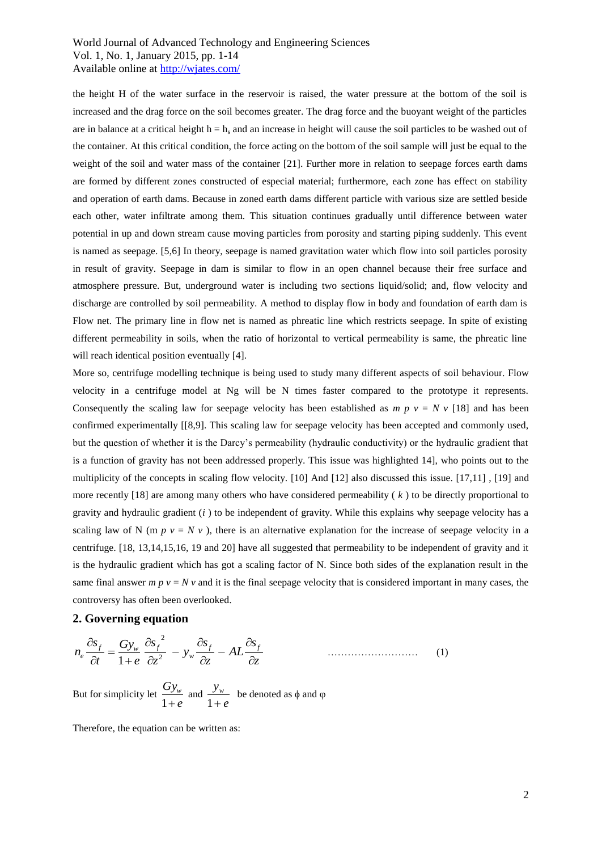the height H of the water surface in the reservoir is raised, the water pressure at the bottom of the soil is increased and the drag force on the soil becomes greater. The drag force and the buoyant weight of the particles are in balance at a critical height  $h = h_s$  and an increase in height will cause the soil particles to be washed out of the container. At this critical condition, the force acting on the bottom of the soil sample will just be equal to the weight of the soil and water mass of the container [21]. Further more in relation to seepage forces earth dams are formed by different zones constructed of especial material; furthermore, each zone has effect on stability and operation of earth dams. Because in zoned earth dams different particle with various size are settled beside each other, water infiltrate among them. This situation continues gradually until difference between water potential in up and down stream cause moving particles from porosity and starting piping suddenly. This event is named as seepage. [5,6] In theory, seepage is named gravitation water which flow into soil particles porosity in result of gravity. Seepage in dam is similar to flow in an open channel because their free surface and atmosphere pressure. But, underground water is including two sections liquid/solid; and, flow velocity and discharge are controlled by soil permeability. A method to display flow in body and foundation of earth dam is Flow net. The primary line in flow net is named as phreatic line which restricts seepage. In spite of existing different permeability in soils, when the ratio of horizontal to vertical permeability is same, the phreatic line will reach identical position eventually [4].

More so, centrifuge modelling technique is being used to study many different aspects of soil behaviour. Flow velocity in a centrifuge model at Ng will be N times faster compared to the prototype it represents. Consequently the scaling law for seepage velocity has been established as  $m p v = N v$  [18] and has been confirmed experimentally [[8,9]. This scaling law for seepage velocity has been accepted and commonly used, but the question of whether it is the Darcy's permeability (hydraulic conductivity) or the hydraulic gradient that is a function of gravity has not been addressed properly. This issue was highlighted 14], who points out to the multiplicity of the concepts in scaling flow velocity. [10] And [12] also discussed this issue. [17,11], [19] and more recently [18] are among many others who have considered permeability ( *k* ) to be directly proportional to gravity and hydraulic gradient (*i* ) to be independent of gravity. While this explains why seepage velocity has a scaling law of N (m  $p$   $v = N v$ ), there is an alternative explanation for the increase of seepage velocity in a centrifuge. [18, 13,14,15,16, 19 and 20] have all suggested that permeability to be independent of gravity and it is the hydraulic gradient which has got a scaling factor of N. Since both sides of the explanation result in the same final answer *m p v* = *N v* and it is the final seepage velocity that is considered important in many cases, the controversy has often been overlooked.

## **2. Governing equation**

$$
n_e \frac{\partial s_f}{\partial t} = \frac{G y_w}{1 + e} \frac{\partial s_f}{\partial z^2} - y_w \frac{\partial s_f}{\partial z} - A L \frac{\partial s_f}{\partial z}
$$
 (1)

But for simplicity let  $\frac{Q_{\mathcal{F}w}}{1+e}$ *Gy<sup>w</sup>*  $\frac{Q_y}{1+e}$  and  $\frac{Q_w}{1+e}$ *yw*  $\frac{f(w)}{1+e}$  be denoted as  $\phi$  and  $\phi$ 

Therefore, the equation can be written as: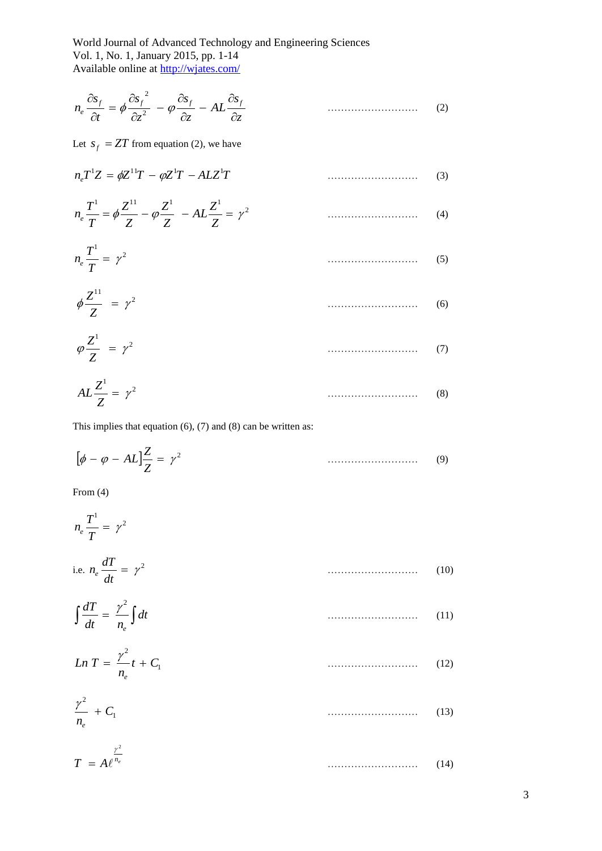$$
n_e \frac{\partial s_f}{\partial t} = \phi \frac{\partial s_f}{\partial z^2} - \phi \frac{\partial s_f}{\partial z} - AL \frac{\partial s_f}{\partial z}
$$
 (2)

Let  $s_f = ZT$  from equation (2), we have

$$
n_e T^1 Z = \phi Z^{11} T - \phi Z^1 T - A L Z^1 T \tag{3}
$$

$$
n_e \frac{T^1}{T} = \phi \frac{Z^{11}}{Z} - \phi \frac{Z^1}{Z} - AL \frac{Z^1}{Z} = \gamma^2
$$
 (4)

$$
n_e \frac{T^1}{T} = \gamma^2 \tag{5}
$$

$$
\phi \frac{Z^{11}}{Z} = \gamma^2 \tag{6}
$$

$$
\varphi \frac{Z^1}{Z} = \gamma^2 \tag{7}
$$

$$
AL\frac{Z^1}{Z} = \gamma^2 \tag{8}
$$

This implies that equation  $(6)$ ,  $(7)$  and  $(8)$  can be written as:

$$
\left[\phi - \varphi - AL\right] \frac{Z}{Z} = \gamma^2 \tag{9}
$$

From (4)

$$
n_e \frac{T^1}{T} = \gamma^2
$$
  
i.e. 
$$
n_e \frac{dT}{dt} = \gamma^2
$$
 (10)  

$$
\int \frac{dT}{dt} = \frac{\gamma^2}{n_e} \int dt
$$
 (11)

$$
Ln T = \frac{\gamma^2}{n_e} t + C_1 \tag{12}
$$

$$
\frac{\gamma^2}{n_e} + C_1 \tag{13}
$$

$$
T = A \ell^{\frac{\gamma^2}{n_e}}
$$
 (14)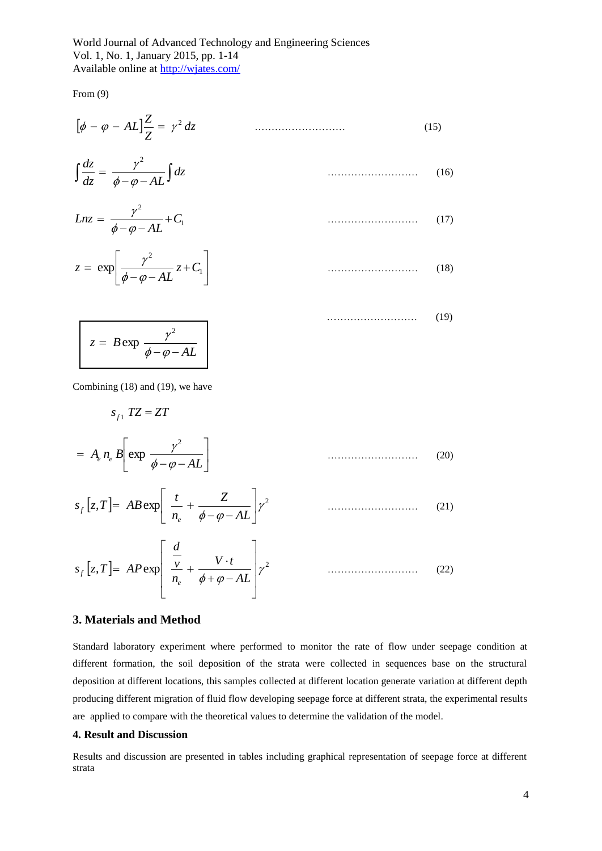From (9)

$$
\left[\phi - \varphi - AL\right] \frac{Z}{Z} = \gamma^2 dz \tag{15}
$$

$$
\int \frac{dz}{dz} = \frac{\gamma^2}{\phi - \phi - AL} \int dz \tag{16}
$$

$$
Lnz = \frac{\gamma^2}{\phi - \phi - AL} + C_1 \tag{17}
$$

$$
z = \exp\left[\frac{\gamma^2}{\phi - \phi - AL} z + C_1\right]
$$
 (18)

$$
z = B \exp \frac{\gamma^2}{\phi - \varphi - AL}
$$
 (19)

Combining (18) and (19), we have

*s*<sub>*f*1</sub>  $TZ = ZT$ 

$$
= A_e n_e B \left[ \exp \frac{\gamma^2}{\phi - \varphi - AL} \right] \tag{20}
$$

$$
s_f[z,T] = AB \exp\left[\frac{t}{n_e} + \frac{Z}{\phi - \phi - AL}\right] \gamma^2 \tag{21}
$$

$$
s_f[z,T] = AP \exp\left[\frac{\frac{d}{v}}{n_e} + \frac{V \cdot t}{\phi + \varphi - AL}\right] \gamma^2 \qquad \qquad (22)
$$

## **3. Materials and Method**

Standard laboratory experiment where performed to monitor the rate of flow under seepage condition at different formation, the soil deposition of the strata were collected in sequences base on the structural deposition at different locations, this samples collected at different location generate variation at different depth producing different migration of fluid flow developing seepage force at different strata, the experimental results are applied to compare with the theoretical values to determine the validation of the model.

## **4. Result and Discussion**

Results and discussion are presented in tables including graphical representation of seepage force at different strata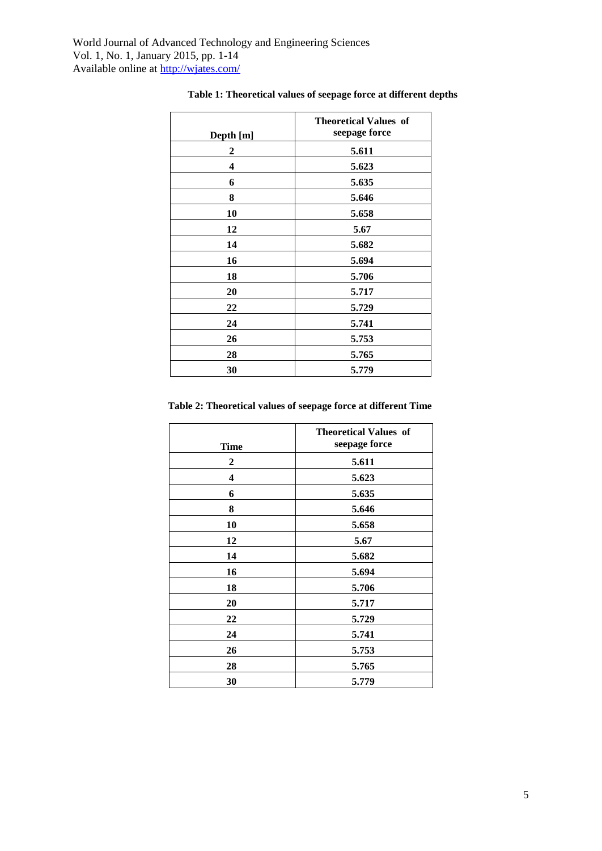|           | <b>Theoretical Values of</b> |
|-----------|------------------------------|
| Depth [m] | seepage force                |
| 2         | 5.611                        |
| 4         | 5.623                        |
| 6         | 5.635                        |
| 8         | 5.646                        |
| 10        | 5.658                        |
| 12        | 5.67                         |
| 14        | 5.682                        |
| 16        | 5.694                        |
| 18        | 5.706                        |
| 20        | 5.717                        |
| 22        | 5.729                        |
| 24        | 5.741                        |
| 26        | 5.753                        |
| 28        | 5.765                        |
| 30        | 5.779                        |

# **Table 1: Theoretical values of seepage force at different depths**

**Table 2: Theoretical values of seepage force at different Time**

| <b>Time</b>             | <b>Theoretical Values of</b><br>seepage force |
|-------------------------|-----------------------------------------------|
| 2                       | 5.611                                         |
| $\overline{\mathbf{4}}$ | 5.623                                         |
| 6                       | 5.635                                         |
| 8                       | 5.646                                         |
| 10                      | 5.658                                         |
| 12                      | 5.67                                          |
| 14                      | 5.682                                         |
| 16                      | 5.694                                         |
| 18                      | 5.706                                         |
| 20                      | 5.717                                         |
| 22                      | 5.729                                         |
| 24                      | 5.741                                         |
| 26                      | 5.753                                         |
| 28                      | 5.765                                         |
| 30                      | 5.779                                         |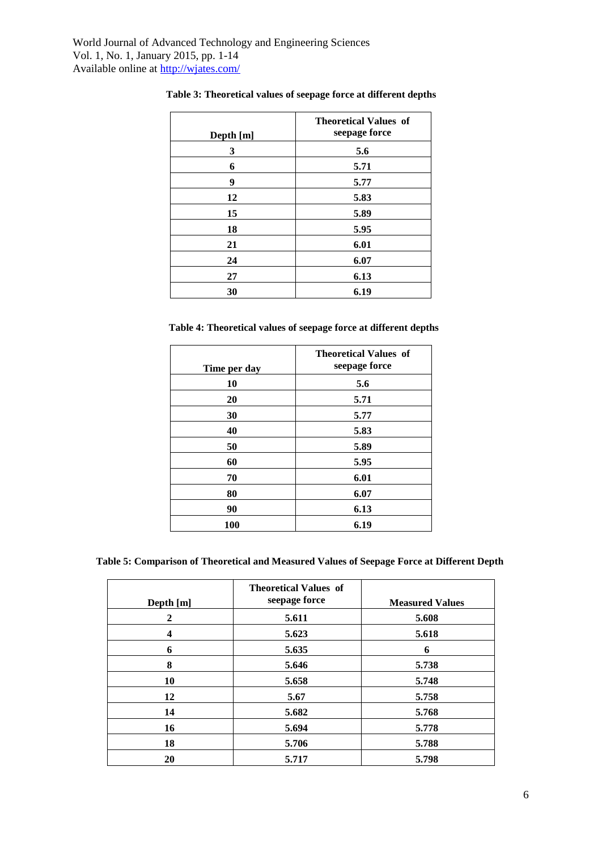|           | <b>Theoretical Values of</b><br>seepage force |
|-----------|-----------------------------------------------|
| Depth [m] |                                               |
| 3         | 5.6                                           |
| 6         | 5.71                                          |
| 9         | 5.77                                          |
| 12        | 5.83                                          |
| 15        | 5.89                                          |
| 18        | 5.95                                          |
| 21        | 6.01                                          |
| 24        | 6.07                                          |
| 27        | 6.13                                          |
| 30        | 6.19                                          |

# **Table 3: Theoretical values of seepage force at different depths**

 **Table 4: Theoretical values of seepage force at different depths**

| Time per day | <b>Theoretical Values of</b><br>seepage force |
|--------------|-----------------------------------------------|
| 10           | 5.6                                           |
| 20           | 5.71                                          |
| 30           | 5.77                                          |
| 40           | 5.83                                          |
| 50           | 5.89                                          |
| 60           | 5.95                                          |
| 70           | 6.01                                          |
| 80           | 6.07                                          |
| 90           | 6.13                                          |
| <b>100</b>   | 6.19                                          |

**Table 5: Comparison of Theoretical and Measured Values of Seepage Force at Different Depth**

| Depth [m]    | <b>Theoretical Values of</b><br>seepage force | <b>Measured Values</b> |
|--------------|-----------------------------------------------|------------------------|
| $\mathbf{2}$ | 5.611                                         | 5.608                  |
| 4            | 5.623                                         | 5.618                  |
| 6            | 5.635                                         | 6                      |
| 8            | 5.646                                         | 5.738                  |
| 10           | 5.658                                         | 5.748                  |
| 12           | 5.67                                          | 5.758                  |
| 14           | 5.682                                         | 5.768                  |
| 16           | 5.694                                         | 5.778                  |
| 18           | 5.706                                         | 5.788                  |
| 20           | 5.717                                         | 5.798                  |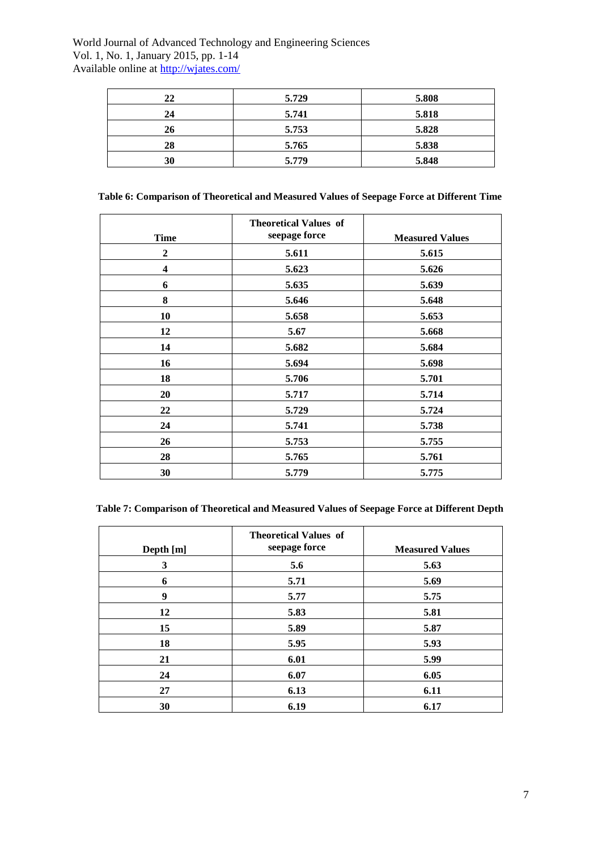| 22 | 5.729 | 5.808 |
|----|-------|-------|
| 24 | 5.741 | 5.818 |
| 26 | 5.753 | 5.828 |
| 28 | 5.765 | 5.838 |
| 30 | 5.779 | 5.848 |

|  | Table 6: Comparison of Theoretical and Measured Values of Seepage Force at Different Time |  |  |  |
|--|-------------------------------------------------------------------------------------------|--|--|--|
|  |                                                                                           |  |  |  |

| <b>Time</b>  | <b>Theoretical Values of</b><br>seepage force | <b>Measured Values</b> |
|--------------|-----------------------------------------------|------------------------|
| $\mathbf{2}$ | 5.611                                         | 5.615                  |
| 4            | 5.623                                         | 5.626                  |
| 6            | 5.635                                         | 5.639                  |
| 8            | 5.646                                         | 5.648                  |
| 10           | 5.658                                         | 5.653                  |
| 12           | 5.67                                          | 5.668                  |
| 14           | 5.682                                         | 5.684                  |
| 16           | 5.694                                         | 5.698                  |
| 18           | 5.706                                         | 5.701                  |
| 20           | 5.717                                         | 5.714                  |
| 22           | 5.729                                         | 5.724                  |
| 24           | 5.741                                         | 5.738                  |
| 26           | 5.753                                         | 5.755                  |
| 28           | 5.765                                         | 5.761                  |
| 30           | 5.779                                         | 5.775                  |

**Table 7: Comparison of Theoretical and Measured Values of Seepage Force at Different Depth**

| Depth [m] | <b>Theoretical Values of</b><br>seepage force | <b>Measured Values</b> |
|-----------|-----------------------------------------------|------------------------|
| 3         | 5.6                                           | 5.63                   |
| 6         | 5.71                                          | 5.69                   |
| 9         | 5.77                                          | 5.75                   |
| 12        | 5.83                                          | 5.81                   |
| 15        | 5.89                                          | 5.87                   |
| 18        | 5.95                                          | 5.93                   |
| 21        | 6.01                                          | 5.99                   |
| 24        | 6.07                                          | 6.05                   |
| 27        | 6.13                                          | 6.11                   |
| 30        | 6.19                                          | 6.17                   |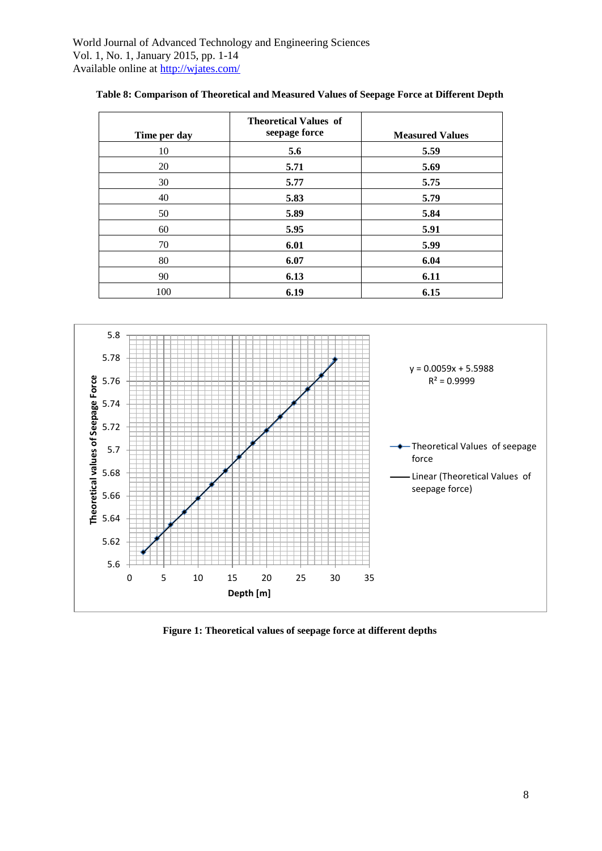| Time per day | <b>Theoretical Values of</b><br>seepage force | <b>Measured Values</b> |
|--------------|-----------------------------------------------|------------------------|
| 10           | 5.6                                           | 5.59                   |
| 20           | 5.71                                          | 5.69                   |
| 30           | 5.77                                          | 5.75                   |
| 40           | 5.83                                          | 5.79                   |
| 50           | 5.89                                          | 5.84                   |
| 60           | 5.95                                          | 5.91                   |
| 70           | 6.01                                          | 5.99                   |
| 80           | 6.07                                          | 6.04                   |
| 90           | 6.13                                          | 6.11                   |
| 100          | 6.19                                          | 6.15                   |



**Figure 1: Theoretical values of seepage force at different depths**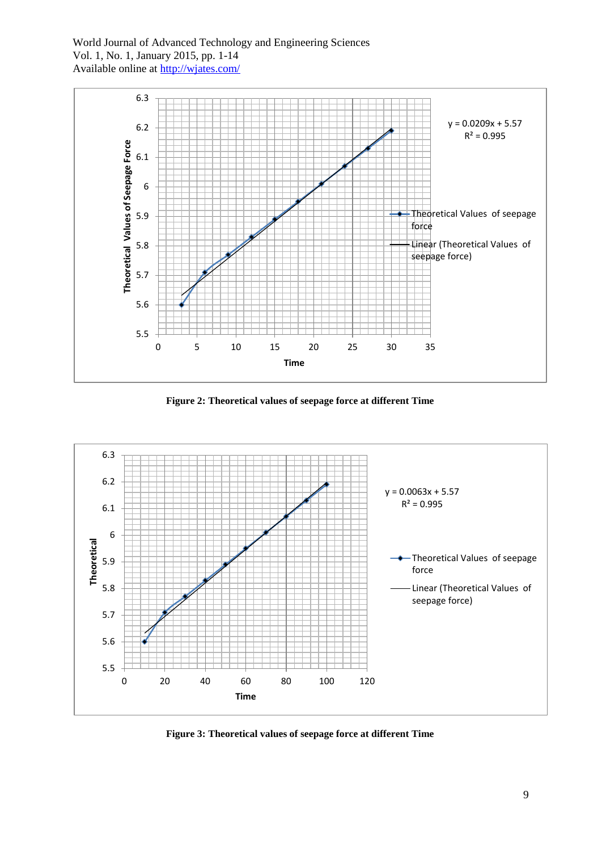

**Figure 2: Theoretical values of seepage force at different Time**



**Figure 3: Theoretical values of seepage force at different Time**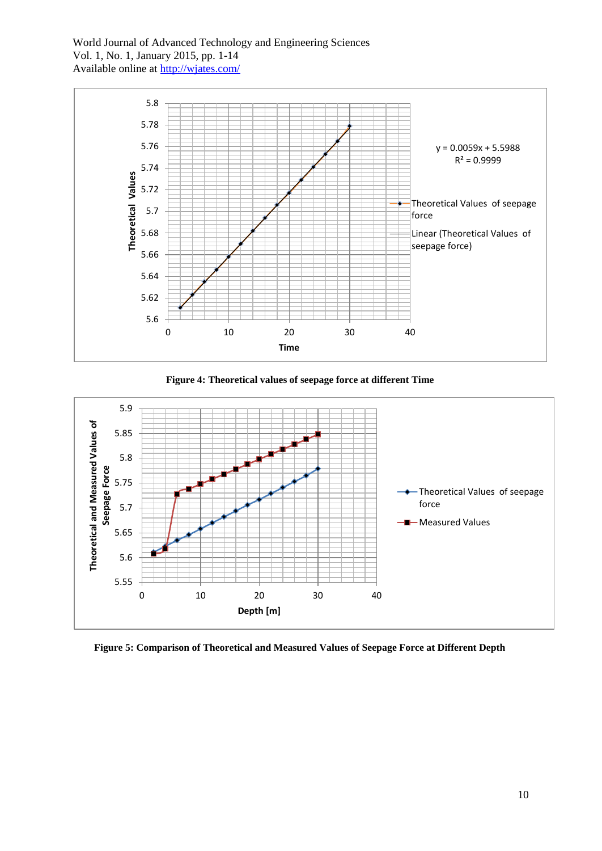

**Figure 4: Theoretical values of seepage force at different Time**



**Figure 5: Comparison of Theoretical and Measured Values of Seepage Force at Different Depth**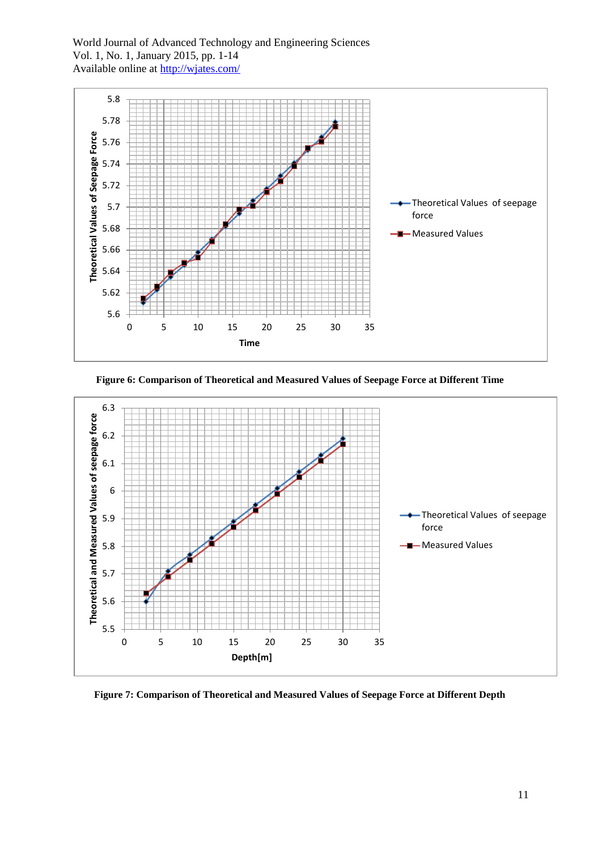

**Figure 6: Comparison of Theoretical and Measured Values of Seepage Force at Different Time**



**Figure 7: Comparison of Theoretical and Measured Values of Seepage Force at Different Depth**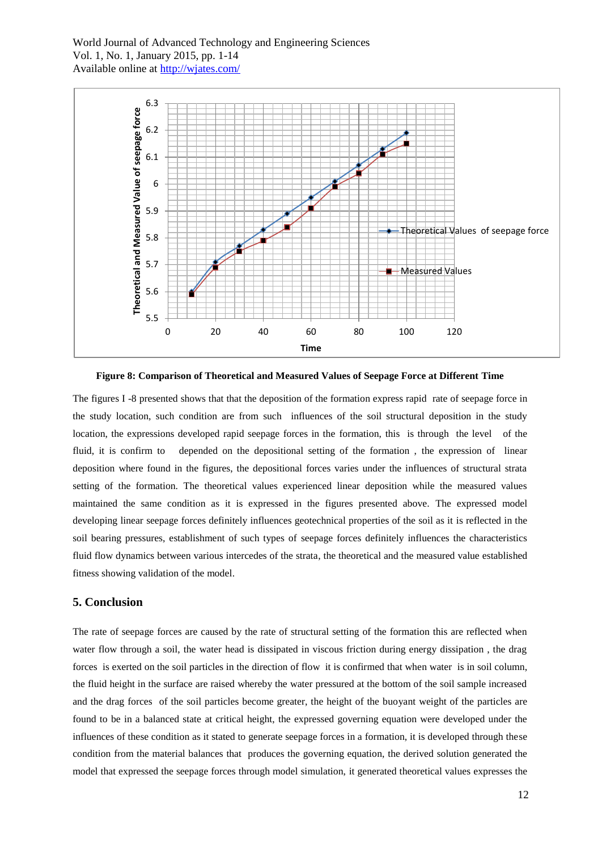

**Figure 8: Comparison of Theoretical and Measured Values of Seepage Force at Different Time**

The figures I -8 presented shows that that the deposition of the formation express rapid rate of seepage force in the study location, such condition are from such influences of the soil structural deposition in the study location, the expressions developed rapid seepage forces in the formation, this is through the level of the fluid, it is confirm to depended on the depositional setting of the formation , the expression of linear deposition where found in the figures, the depositional forces varies under the influences of structural strata setting of the formation. The theoretical values experienced linear deposition while the measured values maintained the same condition as it is expressed in the figures presented above. The expressed model developing linear seepage forces definitely influences geotechnical properties of the soil as it is reflected in the soil bearing pressures, establishment of such types of seepage forces definitely influences the characteristics fluid flow dynamics between various intercedes of the strata, the theoretical and the measured value established fitness showing validation of the model.

#### **5. Conclusion**

The rate of seepage forces are caused by the rate of structural setting of the formation this are reflected when water flow through a soil, the water head is dissipated in viscous friction during energy dissipation , the drag forces is exerted on the soil particles in the direction of flow it is confirmed that when water is in soil column, the fluid height in the surface are raised whereby the water pressured at the bottom of the soil sample increased and the drag forces of the soil particles become greater, the height of the buoyant weight of the particles are found to be in a balanced state at critical height, the expressed governing equation were developed under the influences of these condition as it stated to generate seepage forces in a formation, it is developed through these condition from the material balances that produces the governing equation, the derived solution generated the model that expressed the seepage forces through model simulation, it generated theoretical values expresses the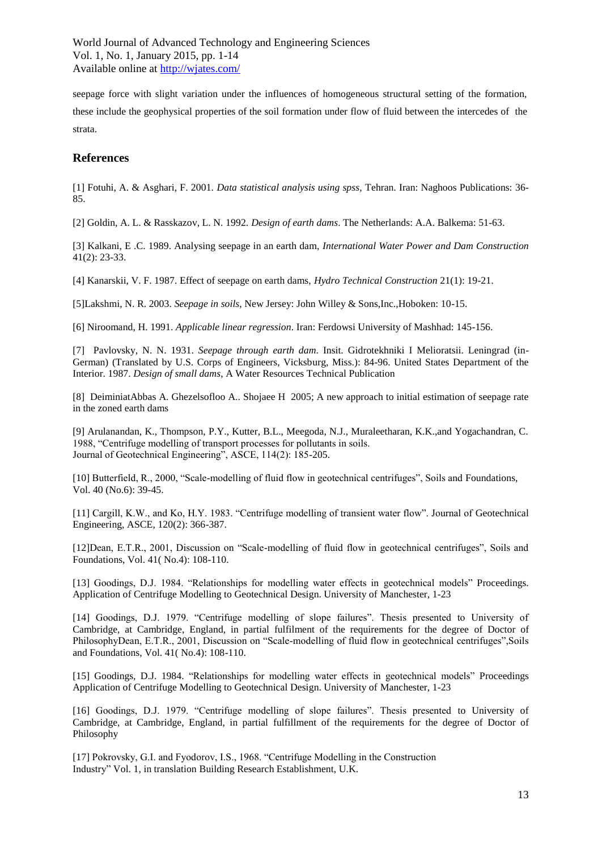seepage force with slight variation under the influences of homogeneous structural setting of the formation, these include the geophysical properties of the soil formation under flow of fluid between the intercedes of the strata.

#### **References**

[1] Fotuhi, A. & Asghari, F. 2001. *Data statistical analysis using spss*, Tehran. Iran: Naghoos Publications: 36- 85.

[2] Goldin, A. L. & Rasskazov, L. N. 1992. *Design of earth dams*. The Netherlands: A.A. Balkema: 51-63.

[3] Kalkani, E .C. 1989. Analysing seepage in an earth dam, *International Water Power and Dam Construction* 41(2): 23-33.

[4] Kanarskii, V. F. 1987. Effect of seepage on earth dams, *Hydro Technical Construction* 21(1): 19-21.

[5]Lakshmi, N. R. 2003. *Seepage in soils*, New Jersey: John Willey & Sons,Inc.,Hoboken: 10-15.

[6] Niroomand, H. 1991. *Applicable linear regression*. Iran: Ferdowsi University of Mashhad: 145-156.

[7] Pavlovsky, N. N. 1931. *Seepage through earth dam*. Insit. Gidrotekhniki I Melioratsii. Leningrad (in-German) (Translated by U.S. Corps of Engineers, Vicksburg, Miss.): 84-96. United States Department of the Interior. 1987. *Design of small dams*, A Water Resources Technical Publication

[8] DeiminiatAbbas A. Ghezelsofloo A.. Shojaee H 2005; A new approach to initial estimation of seepage rate in the zoned earth dams

[9] Arulanandan, K., Thompson, P.Y., Kutter, B.L., Meegoda, N.J., Muraleetharan, K.K.,and Yogachandran, C. 1988, "Centrifuge modelling of transport processes for pollutants in soils. Journal of Geotechnical Engineering", ASCE, 114(2): 185-205.

[10] Butterfield, R., 2000, "Scale-modelling of fluid flow in geotechnical centrifuges", Soils and Foundations, Vol. 40 (No.6): 39-45.

[11] Cargill, K.W., and Ko, H.Y. 1983. "Centrifuge modelling of transient water flow". Journal of Geotechnical Engineering, ASCE, 120(2): 366-387.

[12]Dean, E.T.R., 2001, Discussion on "Scale-modelling of fluid flow in geotechnical centrifuges", Soils and Foundations, Vol. 41( No.4): 108-110.

[13] Goodings, D.J. 1984. "Relationships for modelling water effects in geotechnical models" Proceedings. Application of Centrifuge Modelling to Geotechnical Design. University of Manchester, 1-23

[14] Goodings, D.J. 1979. "Centrifuge modelling of slope failures". Thesis presented to University of Cambridge, at Cambridge, England, in partial fulfilment of the requirements for the degree of Doctor of PhilosophyDean, E.T.R., 2001, Discussion on "Scale-modelling of fluid flow in geotechnical centrifuges",Soils and Foundations, Vol. 41( No.4): 108-110.

[15] Goodings, D.J. 1984. "Relationships for modelling water effects in geotechnical models" Proceedings Application of Centrifuge Modelling to Geotechnical Design. University of Manchester, 1-23

[16] Goodings, D.J. 1979. "Centrifuge modelling of slope failures". Thesis presented to University of Cambridge, at Cambridge, England, in partial fulfillment of the requirements for the degree of Doctor of Philosophy

[17] Pokrovsky, G.I. and Fyodorov, I.S., 1968. "Centrifuge Modelling in the Construction Industry" Vol. 1, in translation Building Research Establishment, U.K.